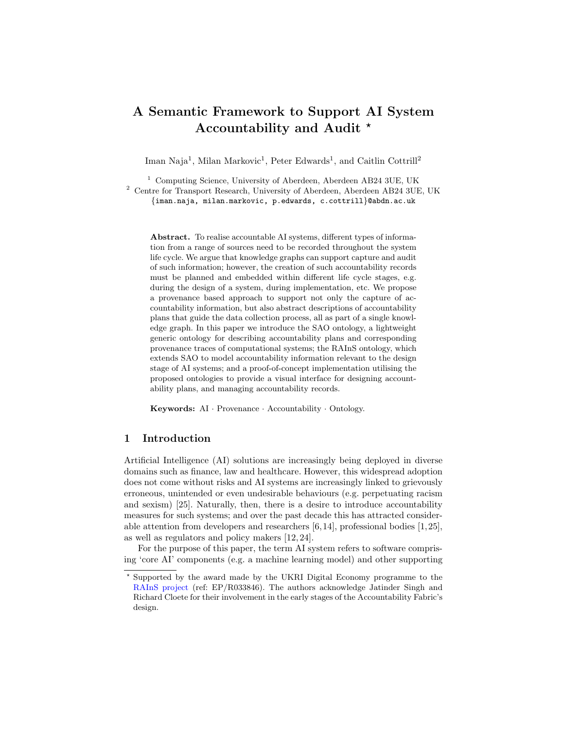# A Semantic Framework to Support AI System Accountability and Audit  $*$

Iman Naja<sup>1</sup>, Milan Markovic<sup>1</sup>, Peter Edwards<sup>1</sup>, and Caitlin Cottrill<sup>2</sup>

<sup>1</sup> Computing Science, University of Aberdeen, Aberdeen AB24 3UE, UK <sup>2</sup> Centre for Transport Research, University of Aberdeen, Aberdeen AB24 3UE, UK {iman.naja, milan.markovic, p.edwards, c.cottrill}@abdn.ac.uk

Abstract. To realise accountable AI systems, different types of information from a range of sources need to be recorded throughout the system life cycle. We argue that knowledge graphs can support capture and audit of such information; however, the creation of such accountability records must be planned and embedded within different life cycle stages, e.g. during the design of a system, during implementation, etc. We propose a provenance based approach to support not only the capture of accountability information, but also abstract descriptions of accountability plans that guide the data collection process, all as part of a single knowledge graph. In this paper we introduce the SAO ontology, a lightweight generic ontology for describing accountability plans and corresponding provenance traces of computational systems; the RAInS ontology, which extends SAO to model accountability information relevant to the design stage of AI systems; and a proof-of-concept implementation utilising the proposed ontologies to provide a visual interface for designing accountability plans, and managing accountability records.

Keywords: AI · Provenance · Accountability · Ontology.

# <span id="page-0-0"></span>1 Introduction

Artificial Intelligence (AI) solutions are increasingly being deployed in diverse domains such as finance, law and healthcare. However, this widespread adoption does not come without risks and AI systems are increasingly linked to grievously erroneous, unintended or even undesirable behaviours (e.g. perpetuating racism and sexism) [\[25\]](#page-15-0). Naturally, then, there is a desire to introduce accountability measures for such systems; and over the past decade this has attracted considerable attention from developers and researchers [\[6,](#page-14-0) [14\]](#page-15-1), professional bodies [\[1,](#page-14-1) [25\]](#page-15-0), as well as regulators and policy makers [\[12,](#page-15-2) [24\]](#page-15-3).

For the purpose of this paper, the term AI system refers to software comprising 'core AI' components (e.g. a machine learning model) and other supporting

<sup>?</sup> Supported by the award made by the UKRI Digital Economy programme to the [RAInS project](https://Rainsproject.org/) (ref: EP/R033846). The authors acknowledge Jatinder Singh and Richard Cloete for their involvement in the early stages of the Accountability Fabric's design.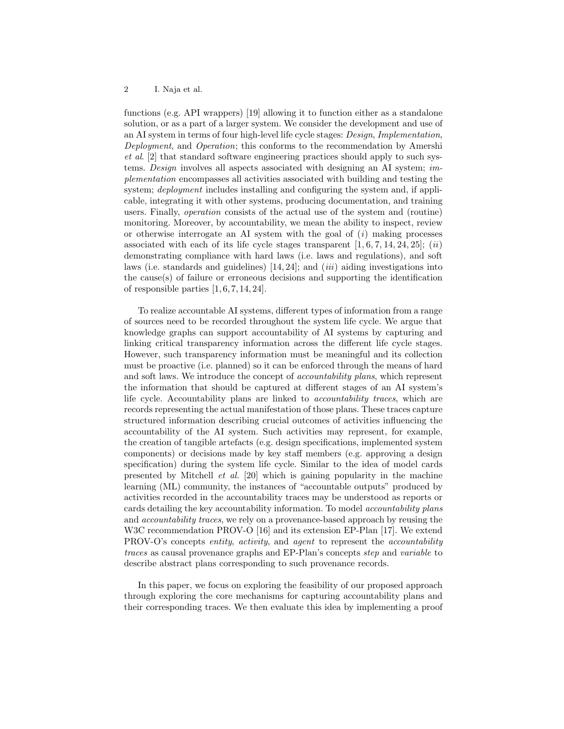functions (e.g. API wrappers) [\[19\]](#page-15-4) allowing it to function either as a standalone solution, or as a part of a larger system. We consider the development and use of an AI system in terms of four high-level life cycle stages: Design, Implementation, Deployment, and Operation; this conforms to the recommendation by Amershi et al. [\[2\]](#page-14-2) that standard software engineering practices should apply to such systems. Design involves all aspects associated with designing an AI system; implementation encompasses all activities associated with building and testing the system; *deployment* includes installing and configuring the system and, if applicable, integrating it with other systems, producing documentation, and training users. Finally, operation consists of the actual use of the system and (routine) monitoring. Moreover, by accountability, we mean the ability to inspect, review or otherwise interrogate an AI system with the goal of  $(i)$  making processes associated with each of its life cycle stages transparent  $[1, 6, 7, 14, 24, 25]$  $[1, 6, 7, 14, 24, 25]$  $[1, 6, 7, 14, 24, 25]$  $[1, 6, 7, 14, 24, 25]$  $[1, 6, 7, 14, 24, 25]$  $[1, 6, 7, 14, 24, 25]$ ; *(ii)* demonstrating compliance with hard laws (i.e. laws and regulations), and soft laws (i.e. standards and guidelines)  $[14, 24]$  $[14, 24]$ ; and  $(iii)$  aiding investigations into the cause(s) of failure or erroneous decisions and supporting the identification of responsible parties [\[1,](#page-14-1) [6,](#page-14-0) [7,](#page-14-3) [14,](#page-15-1) [24\]](#page-15-3).

To realize accountable AI systems, different types of information from a range of sources need to be recorded throughout the system life cycle. We argue that knowledge graphs can support accountability of AI systems by capturing and linking critical transparency information across the different life cycle stages. However, such transparency information must be meaningful and its collection must be proactive (i.e. planned) so it can be enforced through the means of hard and soft laws. We introduce the concept of accountability plans, which represent the information that should be captured at different stages of an AI system's life cycle. Accountability plans are linked to accountability traces, which are records representing the actual manifestation of those plans. These traces capture structured information describing crucial outcomes of activities influencing the accountability of the AI system. Such activities may represent, for example, the creation of tangible artefacts (e.g. design specifications, implemented system components) or decisions made by key staff members (e.g. approving a design specification) during the system life cycle. Similar to the idea of model cards presented by Mitchell et al. [\[20\]](#page-15-5) which is gaining popularity in the machine learning (ML) community, the instances of "accountable outputs" produced by activities recorded in the accountability traces may be understood as reports or cards detailing the key accountability information. To model accountability plans and accountability traces, we rely on a provenance-based approach by reusing the W3C recommendation PROV-O [\[16\]](#page-15-6) and its extension EP-Plan [\[17\]](#page-15-7). We extend PROV-O's concepts entity, activity, and agent to represent the accountability traces as causal provenance graphs and EP-Plan's concepts step and variable to describe abstract plans corresponding to such provenance records.

In this paper, we focus on exploring the feasibility of our proposed approach through exploring the core mechanisms for capturing accountability plans and their corresponding traces. We then evaluate this idea by implementing a proof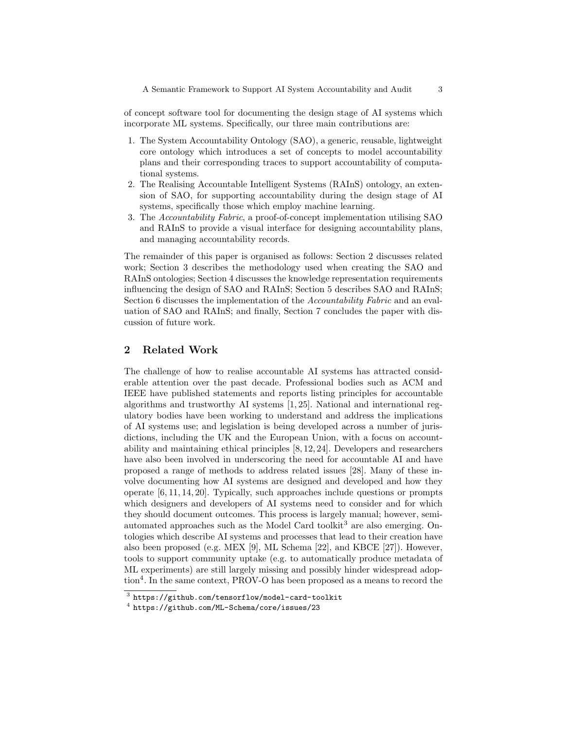of concept software tool for documenting the design stage of AI systems which incorporate ML systems. Specifically, our three main contributions are:

- 1. The System Accountability Ontology (SAO), a generic, reusable, lightweight core ontology which introduces a set of concepts to model accountability plans and their corresponding traces to support accountability of computational systems.
- 2. The Realising Accountable Intelligent Systems (RAInS) ontology, an extension of SAO, for supporting accountability during the design stage of AI systems, specifically those which employ machine learning.
- 3. The Accountability Fabric, a proof-of-concept implementation utilising SAO and RAInS to provide a visual interface for designing accountability plans, and managing accountability records.

The remainder of this paper is organised as follows: Section [2](#page-2-0) discusses related work; Section [3](#page-3-0) describes the methodology used when creating the SAO and RAInS ontologies; Section [4](#page-4-0) discusses the knowledge representation requirements influencing the design of SAO and RAInS; Section [5](#page-5-0) describes SAO and RAInS; Section [6](#page-10-0) discusses the implementation of the Accountability Fabric and an evaluation of SAO and RAInS; and finally, Section [7](#page-13-0) concludes the paper with discussion of future work.

# <span id="page-2-0"></span>2 Related Work

The challenge of how to realise accountable AI systems has attracted considerable attention over the past decade. Professional bodies such as ACM and IEEE have published statements and reports listing principles for accountable algorithms and trustworthy AI systems [\[1,](#page-14-1) [25\]](#page-15-0). National and international regulatory bodies have been working to understand and address the implications of AI systems use; and legislation is being developed across a number of jurisdictions, including the UK and the European Union, with a focus on accountability and maintaining ethical principles [\[8,](#page-14-4) [12,](#page-15-2) [24\]](#page-15-3). Developers and researchers have also been involved in underscoring the need for accountable AI and have proposed a range of methods to address related issues [\[28\]](#page-15-8). Many of these involve documenting how AI systems are designed and developed and how they operate [\[6,](#page-14-0) [11,](#page-15-9) [14,](#page-15-1) [20\]](#page-15-5). Typically, such approaches include questions or prompts which designers and developers of AI systems need to consider and for which they should document outcomes. This process is largely manual; however, semi-automated approaches such as the Model Card toolkit<sup>[3](#page-2-1)</sup> are also emerging. Ontologies which describe AI systems and processes that lead to their creation have also been proposed (e.g. MEX [\[9\]](#page-14-5), ML Schema [\[22\]](#page-15-10), and KBCE [\[27\]](#page-15-11)). However, tools to support community uptake (e.g. to automatically produce metadata of ML experiments) are still largely missing and possibly hinder widespread adop-tion<sup>[4](#page-2-2)</sup>. In the same context, PROV-O has been proposed as a means to record the

<span id="page-2-1"></span> $^3$  <https://github.com/tensorflow/model-card-toolkit>

<span id="page-2-2"></span><sup>4</sup> <https://github.com/ML-Schema/core/issues/23>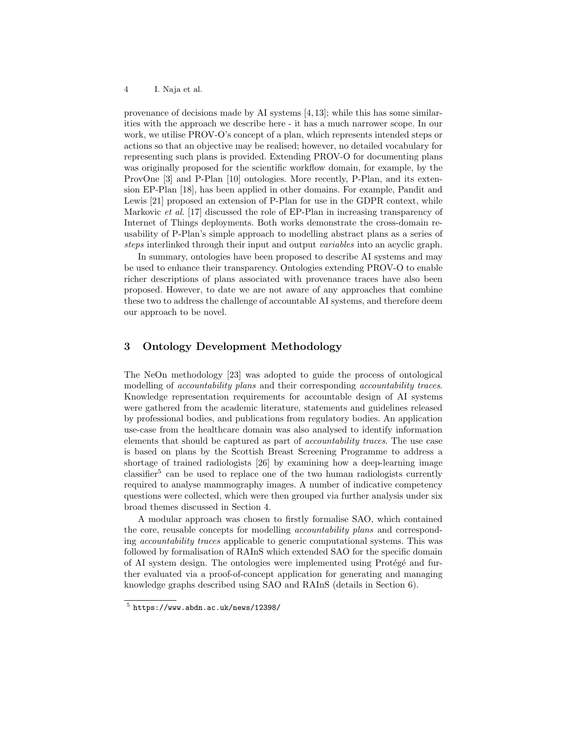provenance of decisions made by AI systems [\[4,](#page-14-6) [13\]](#page-15-12); while this has some similarities with the approach we describe here - it has a much narrower scope. In our work, we utilise PROV-O's concept of a plan, which represents intended steps or actions so that an objective may be realised; however, no detailed vocabulary for representing such plans is provided. Extending PROV-O for documenting plans was originally proposed for the scientific workflow domain, for example, by the ProvOne [\[3\]](#page-14-7) and P-Plan [\[10\]](#page-15-13) ontologies. More recently, P-Plan, and its extension EP-Plan [\[18\]](#page-15-14), has been applied in other domains. For example, Pandit and Lewis [\[21\]](#page-15-15) proposed an extension of P-Plan for use in the GDPR context, while Markovic *et al.* [\[17\]](#page-15-7) discussed the role of EP-Plan in increasing transparency of Internet of Things deployments. Both works demonstrate the cross-domain reusability of P-Plan's simple approach to modelling abstract plans as a series of steps interlinked through their input and output *variables* into an acyclic graph.

In summary, ontologies have been proposed to describe AI systems and may be used to enhance their transparency. Ontologies extending PROV-O to enable richer descriptions of plans associated with provenance traces have also been proposed. However, to date we are not aware of any approaches that combine these two to address the challenge of accountable AI systems, and therefore deem our approach to be novel.

# <span id="page-3-0"></span>3 Ontology Development Methodology

The NeOn methodology [\[23\]](#page-15-16) was adopted to guide the process of ontological modelling of *accountability plans* and their corresponding *accountability traces*. Knowledge representation requirements for accountable design of AI systems were gathered from the academic literature, statements and guidelines released by professional bodies, and publications from regulatory bodies. An application use-case from the healthcare domain was also analysed to identify information elements that should be captured as part of accountability traces. The use case is based on plans by the Scottish Breast Screening Programme to address a shortage of trained radiologists [\[26\]](#page-15-17) by examining how a deep-learning image classifier<sup>[5](#page-3-1)</sup> can be used to replace one of the two human radiologists currently required to analyse mammography images. A number of indicative competency questions were collected, which were then grouped via further analysis under six broad themes discussed in Section [4.](#page-4-0)

A modular approach was chosen to firstly formalise SAO, which contained the core, reusable concepts for modelling accountability plans and corresponding accountability traces applicable to generic computational systems. This was followed by formalisation of RAInS which extended SAO for the specific domain of AI system design. The ontologies were implemented using Protégé and further evaluated via a proof-of-concept application for generating and managing knowledge graphs described using SAO and RAInS (details in Section [6\)](#page-10-0).

<span id="page-3-1"></span> $^5$  <https://www.abdn.ac.uk/news/12398/>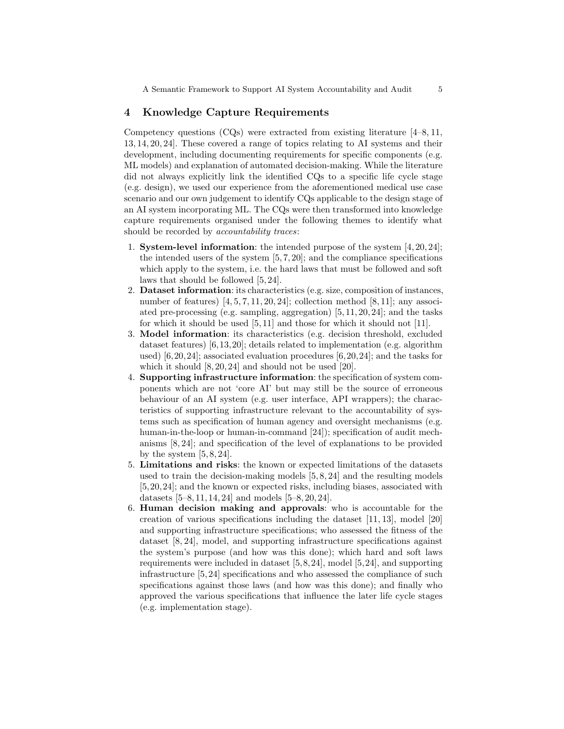# <span id="page-4-0"></span>4 Knowledge Capture Requirements

Competency questions (CQs) were extracted from existing literature [\[4–](#page-14-6)[8,](#page-14-4) [11,](#page-15-9) [13,](#page-15-12) [14,](#page-15-1) [20,](#page-15-5) [24\]](#page-15-3). These covered a range of topics relating to AI systems and their development, including documenting requirements for specific components (e.g. ML models) and explanation of automated decision-making. While the literature did not always explicitly link the identified CQs to a specific life cycle stage (e.g. design), we used our experience from the aforementioned medical use case scenario and our own judgement to identify CQs applicable to the design stage of an AI system incorporating ML. The CQs were then transformed into knowledge capture requirements organised under the following themes to identify what should be recorded by accountability traces:

- 1. System-level information: the intended purpose of the system [\[4,](#page-14-6) [20,](#page-15-5) [24\]](#page-15-3); the intended users of the system  $[5, 7, 20]$  $[5, 7, 20]$  $[5, 7, 20]$ ; and the compliance specifications which apply to the system, i.e. the hard laws that must be followed and soft laws that should be followed [\[5,](#page-14-8) [24\]](#page-15-3).
- 2. Dataset information: its characteristics (e.g. size, composition of instances, number of features)  $[4, 5, 7, 11, 20, 24]$  $[4, 5, 7, 11, 20, 24]$  $[4, 5, 7, 11, 20, 24]$  $[4, 5, 7, 11, 20, 24]$  $[4, 5, 7, 11, 20, 24]$  $[4, 5, 7, 11, 20, 24]$ ; collection method  $[8, 11]$  $[8, 11]$ ; any associated pre-processing (e.g. sampling, aggregation) [\[5,](#page-14-8) [11,](#page-15-9) [20,](#page-15-5) [24\]](#page-15-3); and the tasks for which it should be used [\[5,](#page-14-8) [11\]](#page-15-9) and those for which it should not [\[11\]](#page-15-9).
- 3. Model information: its characteristics (e.g. decision threshold, excluded dataset features) [\[6,](#page-14-0)[13,](#page-15-12)[20\]](#page-15-5); details related to implementation (e.g. algorithm used) [\[6,](#page-14-0)[20,](#page-15-5)[24\]](#page-15-3); associated evaluation procedures [\[6,](#page-14-0)[20,](#page-15-5)[24\]](#page-15-3); and the tasks for which it should [\[8,](#page-14-4) [20,](#page-15-5) [24\]](#page-15-3) and should not be used [\[20\]](#page-15-5).
- 4. Supporting infrastructure information: the specification of system components which are not 'core AI' but may still be the source of erroneous behaviour of an AI system (e.g. user interface, API wrappers); the characteristics of supporting infrastructure relevant to the accountability of systems such as specification of human agency and oversight mechanisms (e.g. human-in-the-loop or human-in-command [\[24\]](#page-15-3)); specification of audit mechanisms [\[8,](#page-14-4) [24\]](#page-15-3); and specification of the level of explanations to be provided by the system  $[5, 8, 24]$  $[5, 8, 24]$  $[5, 8, 24]$ .
- 5. Limitations and risks: the known or expected limitations of the datasets used to train the decision-making models [\[5,](#page-14-8) [8,](#page-14-4) [24\]](#page-15-3) and the resulting models [\[5,](#page-14-8)[20,](#page-15-5)[24\]](#page-15-3); and the known or expected risks, including biases, associated with datasets [\[5](#page-14-8)[–8,](#page-14-4) [11,](#page-15-9) [14,](#page-15-1) [24\]](#page-15-3) and models [\[5–](#page-14-8)[8,](#page-14-4) [20,](#page-15-5) [24\]](#page-15-3).
- 6. Human decision making and approvals: who is accountable for the creation of various specifications including the dataset [\[11,](#page-15-9) [13\]](#page-15-12), model [\[20\]](#page-15-5) and supporting infrastructure specifications; who assessed the fitness of the dataset [\[8,](#page-14-4) [24\]](#page-15-3), model, and supporting infrastructure specifications against the system's purpose (and how was this done); which hard and soft laws requirements were included in dataset [\[5,](#page-14-8)[8,](#page-14-4)[24\]](#page-15-3), model [\[5,](#page-14-8)[24\]](#page-15-3), and supporting infrastructure [\[5,](#page-14-8) [24\]](#page-15-3) specifications and who assessed the compliance of such specifications against those laws (and how was this done); and finally who approved the various specifications that influence the later life cycle stages (e.g. implementation stage).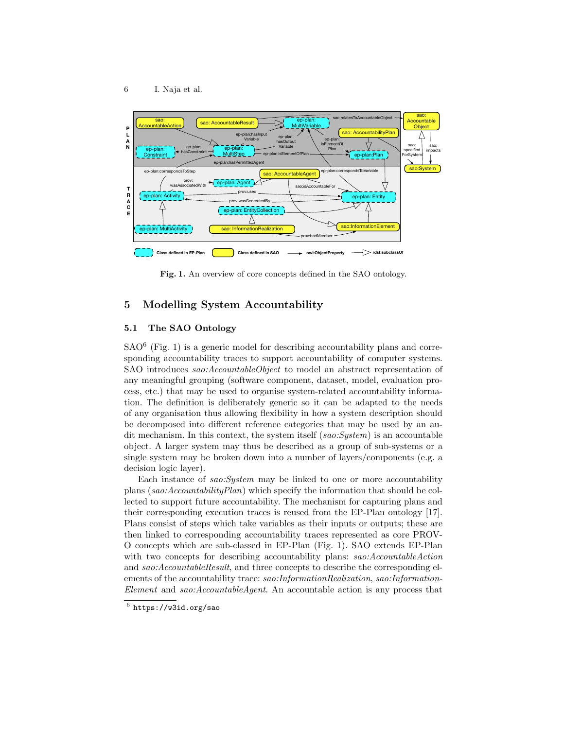

<span id="page-5-2"></span>Fig. 1. An overview of core concepts defined in the SAO ontology.

# <span id="page-5-0"></span>5 Modelling System Accountability

# 5.1 The SAO Ontology

 $SAO<sup>6</sup>$  $SAO<sup>6</sup>$  $SAO<sup>6</sup>$  (Fig. [1\)](#page-5-2) is a generic model for describing accountability plans and corresponding accountability traces to support accountability of computer systems. SAO introduces sao:AccountableObject to model an abstract representation of any meaningful grouping (software component, dataset, model, evaluation process, etc.) that may be used to organise system-related accountability information. The definition is deliberately generic so it can be adapted to the needs of any organisation thus allowing flexibility in how a system description should be decomposed into different reference categories that may be used by an audit mechanism. In this context, the system itself (sao: System) is an accountable object. A larger system may thus be described as a group of sub-systems or a single system may be broken down into a number of layers/components (e.g. a decision logic layer).

Each instance of sao:System may be linked to one or more accountability plans (sao:AccountabilityPlan) which specify the information that should be collected to support future accountability. The mechanism for capturing plans and their corresponding execution traces is reused from the EP-Plan ontology [\[17\]](#page-15-7). Plans consist of steps which take variables as their inputs or outputs; these are then linked to corresponding accountability traces represented as core PROV-O concepts which are sub-classed in EP-Plan (Fig. [1\)](#page-5-2). SAO extends EP-Plan with two concepts for describing accountability plans: sao:AccountableAction and sao:AccountableResult, and three concepts to describe the corresponding elements of the accountability trace:  $sao: InformationRealization$ ,  $sao: Information-$ Element and sao:AccountableAgent. An accountable action is any process that

<span id="page-5-1"></span> $^6$  <https://w3id.org/sao>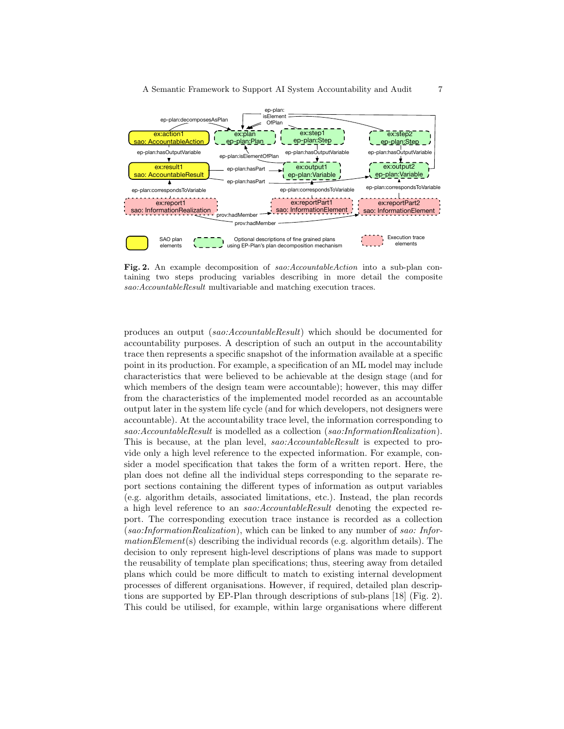

<span id="page-6-0"></span>Fig. 2. An example decomposition of sao:AccountableAction into a sub-plan containing two steps producing variables describing in more detail the composite sao:AccountableResult multivariable and matching execution traces.

produces an output (sao:AccountableResult) which should be documented for accountability purposes. A description of such an output in the accountability trace then represents a specific snapshot of the information available at a specific point in its production. For example, a specification of an ML model may include characteristics that were believed to be achievable at the design stage (and for which members of the design team were accountable); however, this may differ from the characteristics of the implemented model recorded as an accountable output later in the system life cycle (and for which developers, not designers were accountable). At the accountability trace level, the information corresponding to sao:AccountableResult is modelled as a collection (sao:InformationRealization). This is because, at the plan level, sao:AccountableResult is expected to provide only a high level reference to the expected information. For example, consider a model specification that takes the form of a written report. Here, the plan does not define all the individual steps corresponding to the separate report sections containing the different types of information as output variables (e.g. algorithm details, associated limitations, etc.). Instead, the plan records a high level reference to an sao:AccountableResult denoting the expected report. The corresponding execution trace instance is recorded as a collection (sao:InformationRealization), which can be linked to any number of sao: InformationElement(s) describing the individual records (e.g. algorithm details). The decision to only represent high-level descriptions of plans was made to support the reusability of template plan specifications; thus, steering away from detailed plans which could be more difficult to match to existing internal development processes of different organisations. However, if required, detailed plan descriptions are supported by EP-Plan through descriptions of sub-plans [\[18\]](#page-15-14) (Fig. [2\)](#page-6-0). This could be utilised, for example, within large organisations where different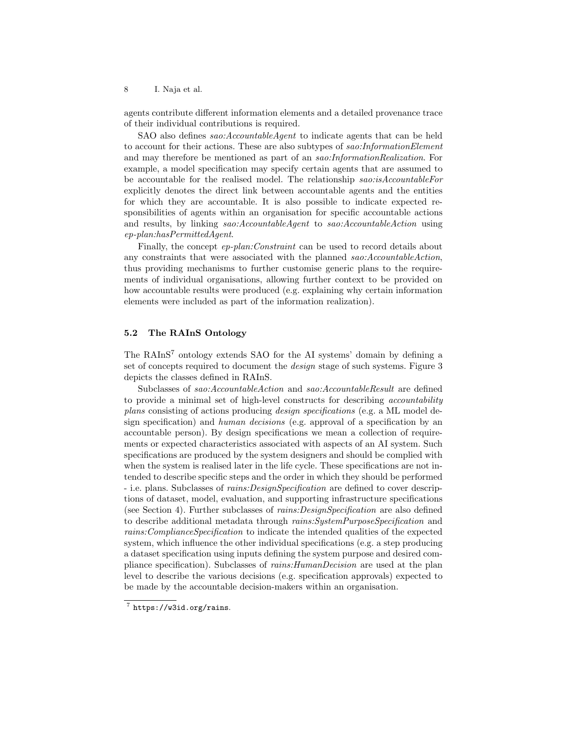agents contribute different information elements and a detailed provenance trace of their individual contributions is required.

SAO also defines sao:AccountableAgent to indicate agents that can be held to account for their actions. These are also subtypes of sao:InformationElement and may therefore be mentioned as part of an sao:InformationRealization. For example, a model specification may specify certain agents that are assumed to be accountable for the realised model. The relationship sao:isAccountableFor explicitly denotes the direct link between accountable agents and the entities for which they are accountable. It is also possible to indicate expected responsibilities of agents within an organisation for specific accountable actions and results, by linking sao:AccountableAgent to sao:AccountableAction using ep-plan:hasPermittedAgent.

Finally, the concept  $ep$ -plan: Constraint can be used to record details about any constraints that were associated with the planned sao:AccountableAction, thus providing mechanisms to further customise generic plans to the requirements of individual organisations, allowing further context to be provided on how accountable results were produced (e.g. explaining why certain information elements were included as part of the information realization).

## 5.2 The RAInS Ontology

The RAInS[7](#page-7-0) ontology extends SAO for the AI systems' domain by defining a set of concepts required to document the design stage of such systems. Figure [3](#page-9-0) depicts the classes defined in RAInS.

Subclasses of sao:AccountableAction and sao:AccountableResult are defined to provide a minimal set of high-level constructs for describing accountability plans consisting of actions producing design specifications (e.g. a ML model design specification) and human decisions (e.g. approval of a specification by an accountable person). By design specifications we mean a collection of requirements or expected characteristics associated with aspects of an AI system. Such specifications are produced by the system designers and should be complied with when the system is realised later in the life cycle. These specifications are not intended to describe specific steps and the order in which they should be performed - i.e. plans. Subclasses of rains:DesignSpecification are defined to cover descriptions of dataset, model, evaluation, and supporting infrastructure specifications (see Section [4\)](#page-4-0). Further subclasses of rains:DesignSpecification are also defined to describe additional metadata through *rains:SystemPurposeSpecification* and rains:ComplianceSpecification to indicate the intended qualities of the expected system, which influence the other individual specifications (e.g. a step producing a dataset specification using inputs defining the system purpose and desired compliance specification). Subclasses of rains:HumanDecision are used at the plan level to describe the various decisions (e.g. specification approvals) expected to be made by the accountable decision-makers within an organisation.

<span id="page-7-0"></span><sup>7</sup> <https://w3id.org/rains>.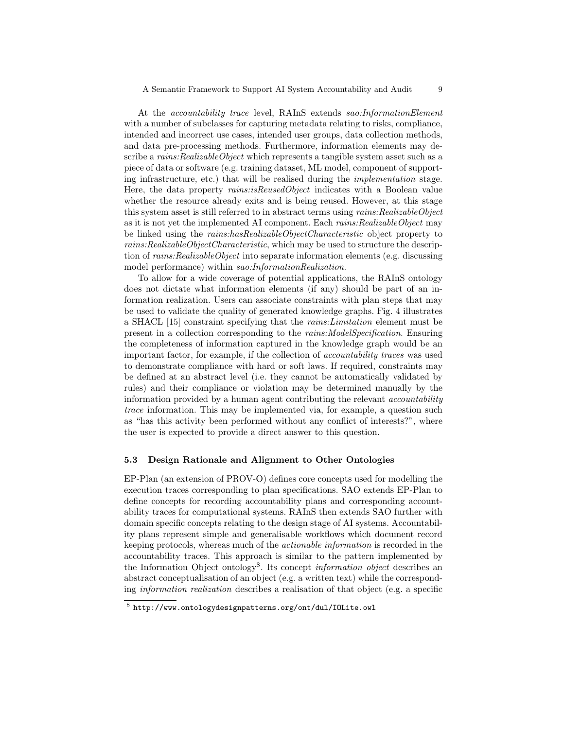At the accountability trace level, RAInS extends sao:InformationElement with a number of subclasses for capturing metadata relating to risks, compliance, intended and incorrect use cases, intended user groups, data collection methods, and data pre-processing methods. Furthermore, information elements may describe a rains: Realizable Object which represents a tangible system asset such as a piece of data or software (e.g. training dataset, ML model, component of supporting infrastructure, etc.) that will be realised during the implementation stage. Here, the data property rains:isReusedObject indicates with a Boolean value whether the resource already exits and is being reused. However, at this stage this system asset is still referred to in abstract terms using rains:RealizableObject as it is not yet the implemented AI component. Each rains:RealizableObject may be linked using the *rains:hasRealizableObjectCharacteristic* object property to rains:RealizableObjectCharacteristic, which may be used to structure the description of rains:RealizableObject into separate information elements (e.g. discussing model performance) within  $sao:InformationRealization$ .

To allow for a wide coverage of potential applications, the RAInS ontology does not dictate what information elements (if any) should be part of an information realization. Users can associate constraints with plan steps that may be used to validate the quality of generated knowledge graphs. Fig. [4](#page-9-1) illustrates a SHACL [\[15\]](#page-15-18) constraint specifying that the rains:Limitation element must be present in a collection corresponding to the rains:ModelSpecification. Ensuring the completeness of information captured in the knowledge graph would be an important factor, for example, if the collection of accountability traces was used to demonstrate compliance with hard or soft laws. If required, constraints may be defined at an abstract level (i.e. they cannot be automatically validated by rules) and their compliance or violation may be determined manually by the information provided by a human agent contributing the relevant accountability trace information. This may be implemented via, for example, a question such as "has this activity been performed without any conflict of interests?", where the user is expected to provide a direct answer to this question.

## 5.3 Design Rationale and Alignment to Other Ontologies

EP-Plan (an extension of PROV-O) defines core concepts used for modelling the execution traces corresponding to plan specifications. SAO extends EP-Plan to define concepts for recording accountability plans and corresponding accountability traces for computational systems. RAInS then extends SAO further with domain specific concepts relating to the design stage of AI systems. Accountability plans represent simple and generalisable workflows which document record keeping protocols, whereas much of the actionable information is recorded in the accountability traces. This approach is similar to the pattern implemented by the Information Object ontology<sup>[8](#page-8-0)</sup>. Its concept *information object* describes an abstract conceptualisation of an object (e.g. a written text) while the corresponding information realization describes a realisation of that object (e.g. a specific

<span id="page-8-0"></span> $^8$ <http://www.ontologydesignpatterns.org/ont/dul/IOLite.owl>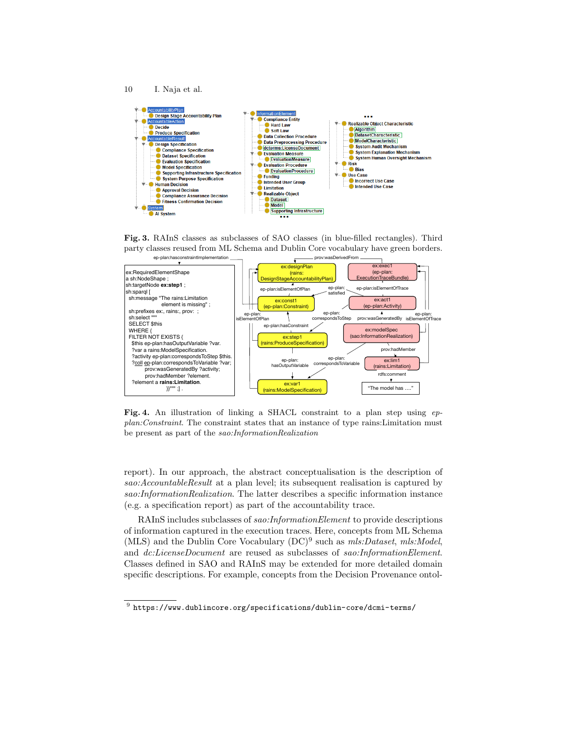

<span id="page-9-0"></span>Fig. 3. RAInS classes as subclasses of SAO classes (in blue-filled rectangles). Third party classes reused from ML Schema and Dublin Core vocabulary have green borders.



<span id="page-9-1"></span>Fig. 4. An illustration of linking a SHACL constraint to a plan step using  $ep$ plan:Constraint. The constraint states that an instance of type rains:Limitation must be present as part of the sao:InformationRealization

report). In our approach, the abstract conceptualisation is the description of sao:AccountableResult at a plan level; its subsequent realisation is captured by sao:InformationRealization. The latter describes a specific information instance (e.g. a specification report) as part of the accountability trace.

RAInS includes subclasses of sao:InformationElement to provide descriptions of information captured in the execution traces. Here, concepts from ML Schema (MLS) and the Dublin Core Vocabulary  $(DC)^9$  $(DC)^9$  such as  $mls:Dataset, mls:Model,$ and dc:LicenseDocument are reused as subclasses of sao:InformationElement. Classes defined in SAO and RAInS may be extended for more detailed domain specific descriptions. For example, concepts from the Decision Provenance ontol-

<span id="page-9-2"></span> $^9$  <https://www.dublincore.org/specifications/dublin-core/dcmi-terms/>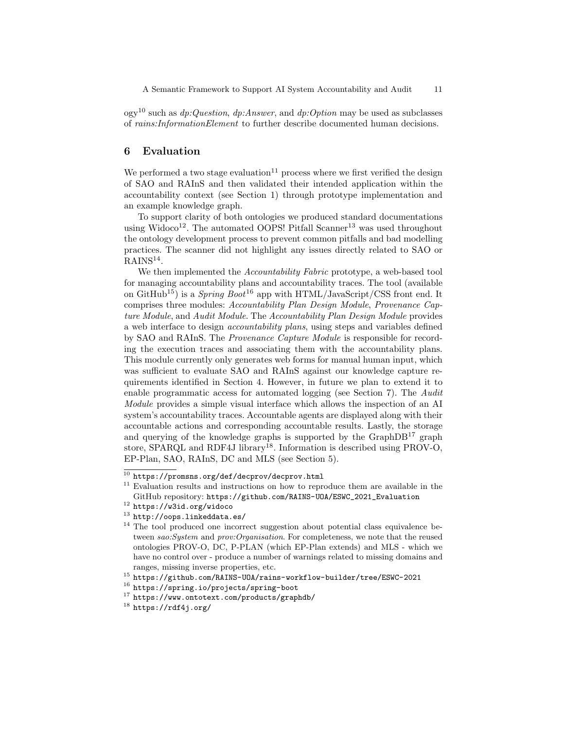ogy<sup>[10](#page-10-1)</sup> such as  $dp:Question, dp: Answer$ , and  $dp:Option$  may be used as subclasses of rains:InformationElement to further describe documented human decisions.

# <span id="page-10-0"></span>6 Evaluation

We performed a two stage evaluation<sup>[11](#page-10-2)</sup> process where we first verified the design of SAO and RAInS and then validated their intended application within the accountability context (see Section [1\)](#page-0-0) through prototype implementation and an example knowledge graph.

To support clarity of both ontologies we produced standard documentations using Widoco<sup>[12](#page-10-3)</sup>. The automated OOPS! Pitfall Scanner<sup>[13](#page-10-4)</sup> was used throughout the ontology development process to prevent common pitfalls and bad modelling practices. The scanner did not highlight any issues directly related to SAO or  $\mathrm{RAINS^{14}}$  $\mathrm{RAINS^{14}}$  $\mathrm{RAINS^{14}}$ .

We then implemented the *Accountability Fabric* prototype, a web-based tool for managing accountability plans and accountability traces. The tool (available on GitHub<sup>[15](#page-10-6)</sup>) is a *Spring Boot*<sup>[16](#page-10-7)</sup> app with HTML/JavaScript/CSS front end. It comprises three modules: Accountability Plan Design Module, Provenance Capture Module, and Audit Module. The Accountability Plan Design Module provides a web interface to design accountability plans, using steps and variables defined by SAO and RAInS. The Provenance Capture Module is responsible for recording the execution traces and associating them with the accountability plans. This module currently only generates web forms for manual human input, which was sufficient to evaluate SAO and RAInS against our knowledge capture requirements identified in Section [4.](#page-4-0) However, in future we plan to extend it to enable programmatic access for automated logging (see Section [7\)](#page-13-0). The *Audit* Module provides a simple visual interface which allows the inspection of an AI system's accountability traces. Accountable agents are displayed along with their accountable actions and corresponding accountable results. Lastly, the storage and querying of the knowledge graphs is supported by the  $GraphDB<sup>17</sup>$  $GraphDB<sup>17</sup>$  $GraphDB<sup>17</sup>$  graph store, SPARQL and RDF4J library<sup>[18](#page-10-9)</sup>. Information is described using PROV-O, EP-Plan, SAO, RAInS, DC and MLS (see Section [5\)](#page-5-0).

<span id="page-10-1"></span> $\frac{10 \text{ https://promsns.s.org/def/decprov/decprov.html}}{$ 

<span id="page-10-2"></span><sup>&</sup>lt;sup>11</sup> Evaluation results and instructions on how to reproduce them are available in the GitHub repository: [https://github.com/RAINS-UOA/ESWC\\_2021\\_Evaluation](https://github.com/RAINS-UOA/ESWC_2021_Evaluation)

<span id="page-10-3"></span><sup>12</sup> <https://w3id.org/widoco>

<span id="page-10-4"></span><sup>13</sup> <http://oops.linkeddata.es/>

<span id="page-10-5"></span><sup>&</sup>lt;sup>14</sup> The tool produced one incorrect suggestion about potential class equivalence between sao:System and prov:Organisation. For completeness, we note that the reused ontologies PROV-O, DC, P-PLAN (which EP-Plan extends) and MLS - which we have no control over - produce a number of warnings related to missing domains and ranges, missing inverse properties, etc.

<span id="page-10-6"></span><sup>15</sup> <https://github.com/RAINS-UOA/rains-workflow-builder/tree/ESWC-2021>

<span id="page-10-7"></span><sup>16</sup> <https://spring.io/projects/spring-boot>

<span id="page-10-8"></span><sup>17</sup> <https://www.ontotext.com/products/graphdb/>

<span id="page-10-9"></span><sup>18</sup> <https://rdf4j.org/>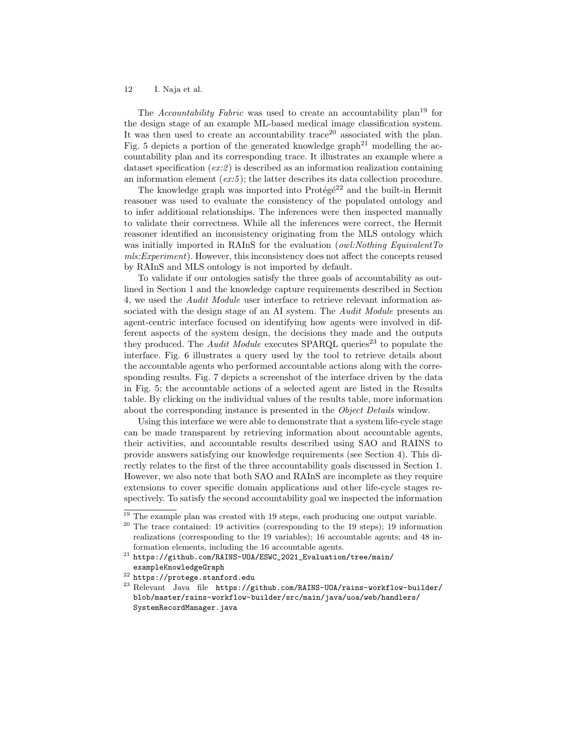The Accountability Fabric was used to create an accountability plan<sup>[19](#page-11-0)</sup> for the design stage of an example ML-based medical image classification system. It was then used to create an accountability trace<sup>[20](#page-11-1)</sup> associated with the plan. Fig. [5](#page-12-0) depicts a portion of the generated knowledge graph<sup>[21](#page-11-2)</sup> modelling the accountability plan and its corresponding trace. It illustrates an example where a dataset specification  $(ex:\mathcal{Z})$  is described as an information realization containing an information element  $(ex:5)$ ; the latter describes its data collection procedure.

The knowledge graph was imported into  $\text{Protége}^{22}$  $\text{Protége}^{22}$  $\text{Protége}^{22}$  and the built-in Hermit reasoner was used to evaluate the consistency of the populated ontology and to infer additional relationships. The inferences were then inspected manually to validate their correctness. While all the inferences were correct, the Hermit reasoner identified an inconsistency originating from the MLS ontology which was initially imported in RAInS for the evaluation (*owl:Nothing EquivalentTo* mls:Experiment). However, this inconsistency does not affect the concepts reused by RAInS and MLS ontology is not imported by default.

To validate if our ontologies satisfy the three goals of accountability as outlined in Section [1](#page-0-0) and the knowledge capture requirements described in Section [4,](#page-4-0) we used the Audit Module user interface to retrieve relevant information associated with the design stage of an AI system. The *Audit Module* presents an agent-centric interface focused on identifying how agents were involved in different aspects of the system design, the decisions they made and the outputs they produced. The *Audit Module* executes SPARQL queries<sup>[23](#page-11-4)</sup> to populate the interface. Fig. [6](#page-12-1) illustrates a query used by the tool to retrieve details about the accountable agents who performed accountable actions along with the corresponding results. Fig. [7](#page-13-1) depicts a screenshot of the interface driven by the data in Fig. [5;](#page-12-0) the accountable actions of a selected agent are listed in the Results table. By clicking on the individual values of the results table, more information about the corresponding instance is presented in the Object Details window.

Using this interface we were able to demonstrate that a system life-cycle stage can be made transparent by retrieving information about accountable agents, their activities, and accountable results described using SAO and RAINS to provide answers satisfying our knowledge requirements (see Section [4\)](#page-4-0). This directly relates to the first of the three accountability goals discussed in Section [1.](#page-0-0) However, we also note that both SAO and RAInS are incomplete as they require extensions to cover specific domain applications and other life-cycle stages respectively. To satisfy the second accountability goal we inspected the information

<span id="page-11-0"></span> $19$  The example plan was created with 19 steps, each producing one output variable.

<span id="page-11-1"></span> $20$  The trace contained: 19 activities (corresponding to the 19 steps); 19 information realizations (corresponding to the 19 variables); 16 accountable agents; and 48 information elements, including the 16 accountable agents.

<span id="page-11-2"></span> $^\mathrm{21}$ [https://github.com/RAINS-UOA/ESWC\\_2021\\_Evaluation/tree/main/](https://github.com/RAINS-UOA/ESWC_2021_Evaluation/tree/main/exampleKnowledgeGraph) [exampleKnowledgeGraph](https://github.com/RAINS-UOA/ESWC_2021_Evaluation/tree/main/exampleKnowledgeGraph)

<span id="page-11-3"></span> $^{22}$ <https://protege.stanford.edu>

<span id="page-11-4"></span><sup>&</sup>lt;sup>23</sup> Relevant Java file [https://github.com/RAINS-UOA/rains-workflow-builder/](https://github.com/RAINS-UOA/rains-workflow-builder/blob/master/rains-workflow-builder/src/main/java/uoa/web/handlers/SystemRecordManager.java) [blob/master/rains-workflow-builder/src/main/java/uoa/web/handlers/](https://github.com/RAINS-UOA/rains-workflow-builder/blob/master/rains-workflow-builder/src/main/java/uoa/web/handlers/SystemRecordManager.java) [SystemRecordManager.java](https://github.com/RAINS-UOA/rains-workflow-builder/blob/master/rains-workflow-builder/src/main/java/uoa/web/handlers/SystemRecordManager.java)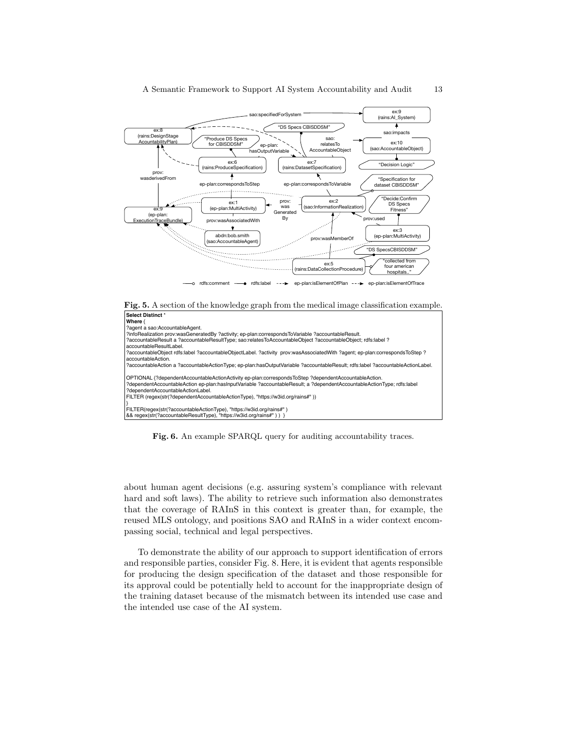

<span id="page-12-0"></span>Fig. 5. A section of the knowledge graph from the medical image classification example. **Select Distinct** \*



<span id="page-12-1"></span>Fig. 6. An example SPARQL query for auditing accountability traces.

about human agent decisions (e.g. assuring system's compliance with relevant hard and soft laws). The ability to retrieve such information also demonstrates that the coverage of RAInS in this context is greater than, for example, the reused MLS ontology, and positions SAO and RAInS in a wider context encompassing social, technical and legal perspectives.

To demonstrate the ability of our approach to support identification of errors and responsible parties, consider Fig. [8.](#page-13-2) Here, it is evident that agents responsible for producing the design specification of the dataset and those responsible for its approval could be potentially held to account for the inappropriate design of the training dataset because of the mismatch between its intended use case and the intended use case of the AI system.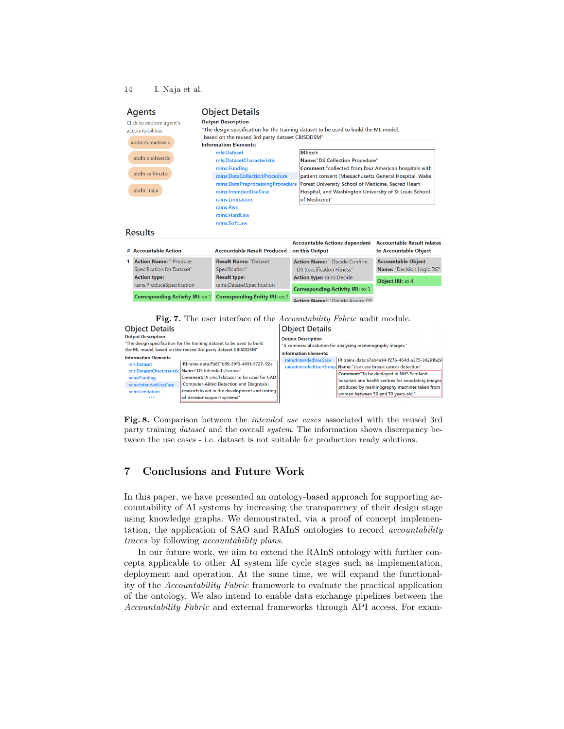|                                                                                                                                                                                                                                                                        | <b>Agents</b><br>Click to explore agent's<br>accountabilities<br>abdn:m.markovic<br>abdn:p.edwards<br>abdn:caitlin.d.c<br>abdn:i.naja<br><b>Results</b> | <b>Object Details</b><br><b>Output Description</b><br>"The design specification for the training dataset to be used to build the ML model,<br>based on the reused 3rd party dataset CBISDDSM"<br><b>Information Elements:</b><br>mls:Dataset<br>mls:DatasetCharacteristic<br>rains: Funding<br>rains:DataCollectionProcedure<br>rains:DataPreprocessingProcedure<br>rains:IntendedUseCase<br>rains:Limitation<br>rains:Risk<br>rains:HardLaw<br>rains:SoftLaw |  | IRI:ex:5<br><b>Name: "DS Collection Procedure"</b><br><b>Comment:</b> "collected from four American hospitals with<br>patient consent (Massachusetts General Hospital, Wake<br>Forest University School of Medicine, Sacred Heart<br>Hospital, and Washington University of St Louis School<br>of Medicine)" |                                                                            |
|------------------------------------------------------------------------------------------------------------------------------------------------------------------------------------------------------------------------------------------------------------------------|---------------------------------------------------------------------------------------------------------------------------------------------------------|---------------------------------------------------------------------------------------------------------------------------------------------------------------------------------------------------------------------------------------------------------------------------------------------------------------------------------------------------------------------------------------------------------------------------------------------------------------|--|--------------------------------------------------------------------------------------------------------------------------------------------------------------------------------------------------------------------------------------------------------------------------------------------------------------|----------------------------------------------------------------------------|
|                                                                                                                                                                                                                                                                        | # Accountable Action                                                                                                                                    | <b>Accountable Result Produced</b>                                                                                                                                                                                                                                                                                                                                                                                                                            |  | <b>Accountable Actions dependent</b><br>on this Output                                                                                                                                                                                                                                                       | <b>Accountable Result relates</b><br>to Accountable Object                 |
|                                                                                                                                                                                                                                                                        | 1 Action Name: " Produce<br><b>Specification for Dataset"</b><br><b>Action type:</b><br>rains:ProduceSpecification<br>Corresponding Activity IRI: ex:1  | <b>Result Name: "Dataset</b><br>Specification"<br><b>Result type:</b><br>rains:DatasetSpecification<br><b>Corresponding Entity IRI: ex:2</b>                                                                                                                                                                                                                                                                                                                  |  | <b>Action Name:</b> " Decide Confirm<br><b>DS Specification Fitness"</b><br><b>Action type: rains:Decide</b><br><b>Corresponding Activity IRI: ex:3</b><br>Action Name: " Decide Assure DS                                                                                                                   | <b>Accountable Object</b><br>Name: "Decision Logic DS"<br>Object IRI: ex:4 |
| Fig. 7. The user interface of the Accountability Fabric audit module.<br><b>Object Details</b><br><b>Output Description</b><br>"The design specification for the training dataset to be used to build<br>the ML model, based on the reused 3rd party dataset CBISDDSM" |                                                                                                                                                         |                                                                                                                                                                                                                                                                                                                                                                                                                                                               |  | <b>Object Details</b><br><b>Output Description</b><br>"A commercial solution for analysing mammography images."<br><b>Information Elements:</b>                                                                                                                                                              |                                                                            |

<span id="page-13-1"></span>

| the ML model, based on the reused 3rd party dataset CBISDDSM"                                                                                                                                                                                                                                              | A commercial solution for analysing mammography images.<br><b>Information Elements:</b>                                                                                             |  |  |
|------------------------------------------------------------------------------------------------------------------------------------------------------------------------------------------------------------------------------------------------------------------------------------------------------------|-------------------------------------------------------------------------------------------------------------------------------------------------------------------------------------|--|--|
|                                                                                                                                                                                                                                                                                                            |                                                                                                                                                                                     |  |  |
| <b>Information Elements:</b>                                                                                                                                                                                                                                                                               | IRI:rains-data:a7ab4e94-f276-464d-a375-30291b29<br>rains:IntendedUseCase                                                                                                            |  |  |
| IRI:rains-data:7b871b89-59f0-4091-9727-92a<br>mls:Dataset                                                                                                                                                                                                                                                  | rains:IntendedUserGroup Name:"Use case breast cancer detection"                                                                                                                     |  |  |
| mls:DatasetCharacteristic Name:"DS Intended Usecase"<br>Comment:"A small dataset to be used for CAD<br>rains:Funding<br>Computer-Aided Detection and Diagnosis)<br>rains:IntendedUseCase<br>research to aid in the development and testing<br>rains:Limitation<br>of decision support systems"<br>$\cdots$ | Comment:"To be deployed in NHS Scotland<br>hospitals and health centres for annotating images<br>produced by mammography machines taken from<br>women between 50 and 70 years old." |  |  |
|                                                                                                                                                                                                                                                                                                            |                                                                                                                                                                                     |  |  |

<span id="page-13-2"></span>Fig. 8. Comparison between the intended use cases associated with the reused 3rd party training dataset and the overall system. The information shows discrepancy between the use cases - i.e. dataset is not suitable for production ready solutions.

# <span id="page-13-0"></span>7 Conclusions and Future Work

In this paper, we have presented an ontology-based approach for supporting accountability of AI systems by increasing the transparency of their design stage using knowledge graphs. We demonstrated, via a proof of concept implementation, the application of SAO and RAInS ontologies to record accountability traces by following accountability plans.

In our future work, we aim to extend the RAInS ontology with further concepts applicable to other AI system life cycle stages such as implementation, deployment and operation. At the same time, we will expand the functionality of the Accountability Fabric framework to evaluate the practical application of the ontology. We also intend to enable data exchange pipelines between the Accountability Fabric and external frameworks through API access. For exam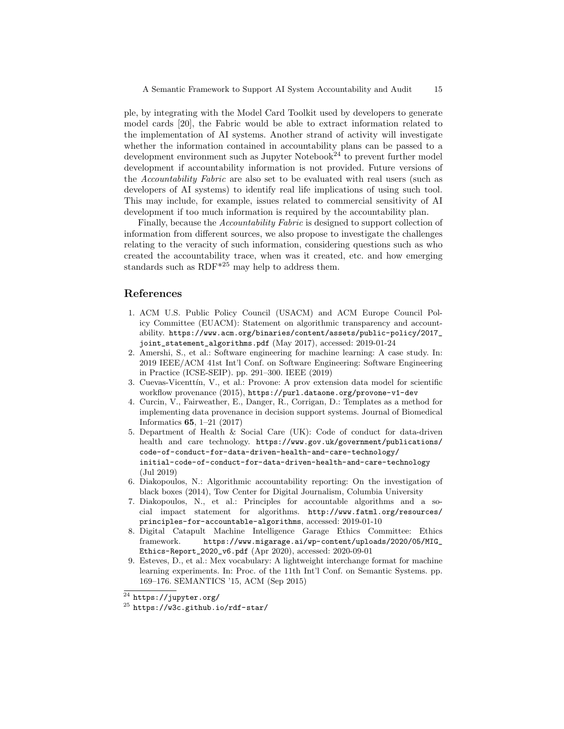ple, by integrating with the Model Card Toolkit used by developers to generate model cards [\[20\]](#page-15-5), the Fabric would be able to extract information related to the implementation of AI systems. Another strand of activity will investigate whether the information contained in accountability plans can be passed to a development environment such as Jupyter Notebook<sup>[24](#page-14-9)</sup> to prevent further model development if accountability information is not provided. Future versions of the Accountability Fabric are also set to be evaluated with real users (such as developers of AI systems) to identify real life implications of using such tool. This may include, for example, issues related to commercial sensitivity of AI development if too much information is required by the accountability plan.

Finally, because the Accountability Fabric is designed to support collection of information from different sources, we also propose to investigate the challenges relating to the veracity of such information, considering questions such as who created the accountability trace, when was it created, etc. and how emerging standards such as  $RDF^{*25}$  $RDF^{*25}$  $RDF^{*25}$  may help to address them.

# References

- <span id="page-14-1"></span>1. ACM U.S. Public Policy Council (USACM) and ACM Europe Council Policy Committee (EUACM): Statement on algorithmic transparency and accountability. [https://www.acm.org/binaries/content/assets/public-policy/2017\\_](https://www.acm.org/binaries/content/assets/public-policy/2017_joint_statement_algorithms.pdf) [joint\\_statement\\_algorithms.pdf](https://www.acm.org/binaries/content/assets/public-policy/2017_joint_statement_algorithms.pdf) (May 2017), accessed: 2019-01-24
- <span id="page-14-2"></span>2. Amershi, S., et al.: Software engineering for machine learning: A case study. In: 2019 IEEE/ACM 41st Int'l Conf. on Software Engineering: Software Engineering in Practice (ICSE-SEIP). pp. 291–300. IEEE (2019)
- <span id="page-14-7"></span>3. Cuevas-Vicenttín, V., et al.: Provone: A prov extension data model for scientific workflow provenance (2015), <https://purl.dataone.org/provone-v1-dev>
- <span id="page-14-6"></span>4. Curcin, V., Fairweather, E., Danger, R., Corrigan, D.: Templates as a method for implementing data provenance in decision support systems. Journal of Biomedical Informatics 65, 1–21 (2017)
- <span id="page-14-8"></span>5. Department of Health & Social Care (UK): Code of conduct for data-driven health and care technology. [https://www.gov.uk/government/publications/](https://www.gov.uk/government/publications/code-of-conduct-for-data-driven-health-and-care-technology/initial-code-of-conduct-for-data-driven-health-and-care-technology) [code-of-conduct-for-data-driven-health-and-care-technology/](https://www.gov.uk/government/publications/code-of-conduct-for-data-driven-health-and-care-technology/initial-code-of-conduct-for-data-driven-health-and-care-technology) [initial-code-of-conduct-for-data-driven-health-and-care-technology](https://www.gov.uk/government/publications/code-of-conduct-for-data-driven-health-and-care-technology/initial-code-of-conduct-for-data-driven-health-and-care-technology) (Jul 2019)
- <span id="page-14-0"></span>6. Diakopoulos, N.: Algorithmic accountability reporting: On the investigation of black boxes (2014), Tow Center for Digital Journalism, Columbia University
- <span id="page-14-3"></span>7. Diakopoulos, N., et al.: Principles for accountable algorithms and a social impact statement for algorithms. [http://www.fatml.org/resources/](http://www.fatml.org/resources/principles-for-accountable-algorithms) [principles-for-accountable-algorithms](http://www.fatml.org/resources/principles-for-accountable-algorithms), accessed: 2019-01-10
- <span id="page-14-4"></span>8. Digital Catapult Machine Intelligence Garage Ethics Committee: Ethics framework. [https://www.migarage.ai/wp-content/uploads/2020/05/MIG\\_](https://www.migarage.ai/wp-content/uploads/2020/05/MIG_Ethics-Report_2020_v6.pdf) [Ethics-Report\\_2020\\_v6.pdf](https://www.migarage.ai/wp-content/uploads/2020/05/MIG_Ethics-Report_2020_v6.pdf) (Apr 2020), accessed: 2020-09-01
- <span id="page-14-5"></span>9. Esteves, D., et al.: Mex vocabulary: A lightweight interchange format for machine learning experiments. In: Proc. of the 11th Int'l Conf. on Semantic Systems. pp. 169–176. SEMANTICS '15, ACM (Sep 2015)

<span id="page-14-9"></span> $^{24}$  <https://jupyter.org/>

<span id="page-14-10"></span><sup>25</sup> <https://w3c.github.io/rdf-star/>